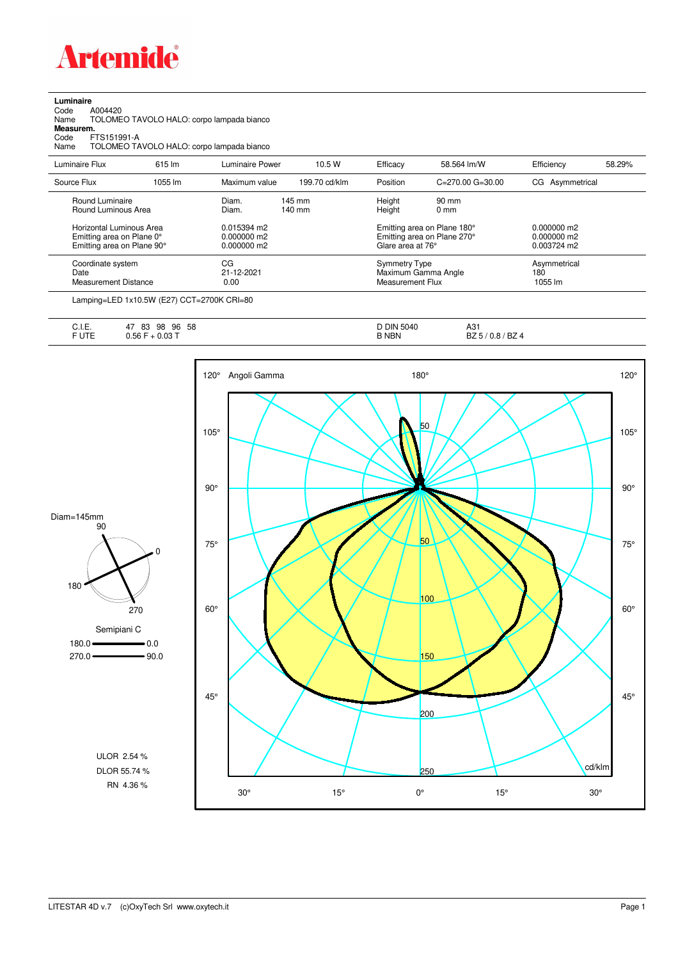

**Luminaire**<br>Code *A*<br>Name 1 Code A004420 Name TOLOMEO TAVOLO HALO: corpo lampada bianco

**Measurem.**

Code FTS151991-A Name TOLOMEO TAVOLO HALO: corpo lampada bianco

| Luminaire Flux                                                                      | 615 lm  | Luminaire Power                               | 10.5 W                     | Efficacy                          | 58.564 lm/W                                                | Efficiency                                    | 58.29% |
|-------------------------------------------------------------------------------------|---------|-----------------------------------------------|----------------------------|-----------------------------------|------------------------------------------------------------|-----------------------------------------------|--------|
| Source Flux                                                                         | 1055 lm | Maximum value                                 | 199.70 cd/klm              | Position                          | $C = 270.00$ $G = 30.00$                                   | CG Asymmetrical                               |        |
| Round Luminaire<br>Round Luminous Area                                              |         | Diam.<br>Diam.                                | 145 mm<br>$140 \text{ mm}$ | Height<br>Height                  | 90 mm<br>$0 \text{ mm}$                                    |                                               |        |
| Horizontal Luminous Area<br>Emitting area on Plane 0°<br>Emitting area on Plane 90° |         | 0.015394 m2<br>$0.000000$ m2<br>$0.000000$ m2 |                            | Glare area at 76°                 | Emitting area on Plane 180°<br>Emitting area on Plane 270° | $0.000000$ m2<br>$0.000000$ m2<br>0.003724 m2 |        |
| Coordinate system<br>Date<br>Measurement Distance                                   |         | CG<br>21-12-2021<br>0.00                      |                            | Symmetry Type<br>Measurement Flux | Maximum Gamma Angle                                        | Asymmetrical<br>180<br>1055 lm                |        |

Lamping=LED 1x10.5W (E27) CCT=2700K CRI=80

| . .<br>. .<br>∪. I. ⊏. | 58<br>96<br>83<br>98<br>4 <sub>1</sub> | <b>DIN</b><br>5040 | $\sim$<br>. .<br>n ت                   |
|------------------------|----------------------------------------|--------------------|----------------------------------------|
| ----<br>◡ + ∟          | $-0.03T$<br>0.56                       | <b>NBN</b>         | . D7<br><b>B</b> Z4<br>v.o<br>DZ.<br>◡ |